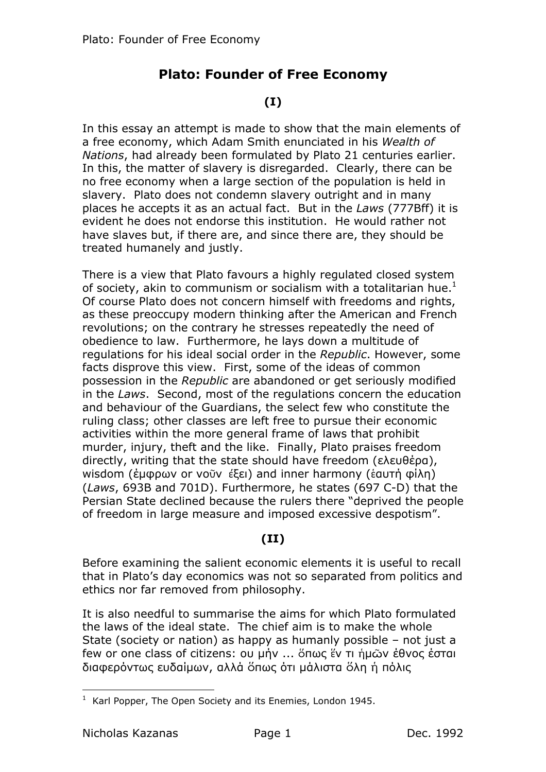# **Plato: Founder of Free Economy**

## $(I)$

In this essay an attempt is made to show that the main elements of a free economy, which Adam Smith enunciated in his Wealth of Nations, had already been formulated by Plato 21 centuries earlier. In this, the matter of slavery is disregarded. Clearly, there can be no free economy when a large section of the population is held in slavery. Plato does not condemn slavery outright and in many places he accepts it as an actual fact. But in the Laws (777Bff) it is evident he does not endorse this institution. He would rather not have slaves but, if there are, and since there are, they should be treated humanely and justly.

There is a view that Plato favours a highly regulated closed system of society, akin to communism or socialism with a totalitarian hue.<sup>1</sup> Of course Plato does not concern himself with freedoms and rights, as these preoccupy modern thinking after the American and French revolutions; on the contrary he stresses repeatedly the need of obedience to law. Furthermore, he lays down a multitude of regulations for his ideal social order in the Republic. However, some facts disprove this view. First, some of the ideas of common possession in the Republic are abandoned or get seriously modified in the Laws. Second, most of the regulations concern the education and behaviour of the Guardians, the select few who constitute the ruling class; other classes are left free to pursue their economic activities within the more general frame of laws that prohibit murder, injury, theft and the like. Finally, Plato praises freedom directly, writing that the state should have freedom (ελευθέρα), wisdom (έμφρων or νοῦν έξει) and inner harmony (εσυτή φίλη) (Laws, 693B and 701D). Furthermore, he states (697 C-D) that the Persian State declined because the rulers there "deprived the people of freedom in large measure and imposed excessive despotism".

#### $(II)$

Before examining the salient economic elements it is useful to recall that in Plato's day economics was not so separated from politics and ethics nor far removed from philosophy.

It is also needful to summarise the aims for which Plato formulated the laws of the ideal state. The chief aim is to make the whole State (society or nation) as happy as humanly possible - not just a few or one class of citizens: ου μήν ... ὅπως ἕν τι ήμῶν ἐθνος ἐσται διαφερόντως ευδαίμων, αλλά ὅπως ότι μάλιστα ὅλη ή πόλις

<sup>&</sup>lt;sup>1</sup> Karl Popper, The Open Society and its Enemies, London 1945.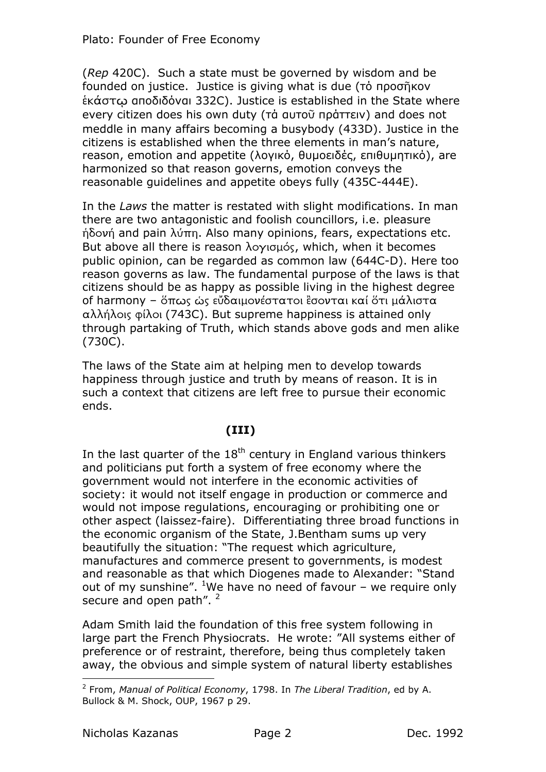(Rep 420C). Such a state must be governed by wisdom and be founded on justice. Justice is giving what is due (To проотком εκάστω αποδιδόναι 332C). Justice is established in the State where every citizen does his own duty (τά αυτοῦ πράττειν) and does not meddle in many affairs becoming a busybody (433D). Justice in the citizens is established when the three elements in man's nature, reason, emotion and appetite (λογικό, θυμοειδές, επιθυμητικό), are harmonized so that reason governs, emotion conveys the reasonable quidelines and appetite obeys fully (435C-444E).

In the Laws the matter is restated with slight modifications. In man there are two antagonistic and foolish councillors, *i.e.* pleasure  $\eta$ δονή and pain λύπη. Also many opinions, fears, expectations etc. But above all there is reason λογισμός, which, when it becomes public opinion, can be regarded as common law (644C-D). Here too reason governs as law. The fundamental purpose of the laws is that citizens should be as happy as possible living in the highest degree of harmony - ὅπως ὡς εὔδαιμονέστατοι ἒσονται καί ὅτι μάλιστα αλλήλοις φίλοι (743C). But supreme happiness is attained only through partaking of Truth, which stands above gods and men alike  $(730C).$ 

The laws of the State aim at helping men to develop towards happiness through justice and truth by means of reason. It is in such a context that citizens are left free to pursue their economic ends.

# $(III)$

In the last quarter of the  $18<sup>th</sup>$  century in England various thinkers and politicians put forth a system of free economy where the government would not interfere in the economic activities of society: it would not itself engage in production or commerce and would not impose regulations, encouraging or prohibiting one or other aspect (laissez-faire). Differentiating three broad functions in the economic organism of the State, J.Bentham sums up very beautifully the situation: "The request which agriculture, manufactures and commerce present to governments, is modest and reasonable as that which Diogenes made to Alexander: "Stand out of my sunshine". <sup>1</sup>We have no need of favour - we require only secure and open path". <sup>2</sup>

Adam Smith laid the foundation of this free system following in large part the French Physiocrats. He wrote: "All systems either of preference or of restraint, therefore, being thus completely taken away, the obvious and simple system of natural liberty establishes

<sup>&</sup>lt;sup>2</sup> From, Manual of Political Economy, 1798. In The Liberal Tradition, ed by A. Bullock & M. Shock, OUP, 1967 p 29.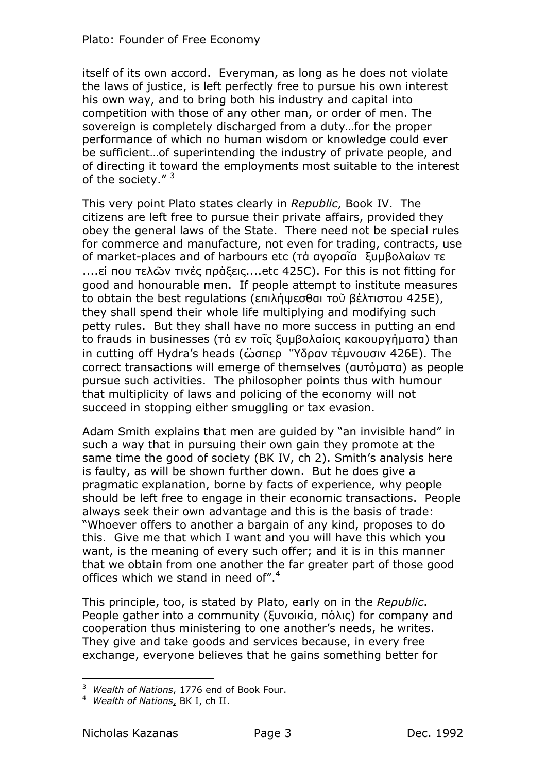itself of its own accord. Everyman, as long as he does not violate the laws of justice, is left perfectly free to pursue his own interest his own way, and to bring both his industry and capital into competition with those of any other man, or order of men. The sovereign is completely discharged from a duty...for the proper performance of which no human wisdom or knowledge could ever be sufficient... of superintending the industry of private people, and of directing it toward the employments most suitable to the interest of the society." 3

This very point Plato states clearly in Republic, Book IV. The citizens are left free to pursue their private affairs, provided they obey the general laws of the State. There need not be special rules for commerce and manufacture, not even for trading, contracts, use of market-places and of harbours etc (τά ανοραΐα ξυμβολαίων τε ....εί που τελών τινές πράξεις....etc 425C). For this is not fitting for good and honourable men. If people attempt to institute measures to obtain the best regulations (επιλήψεσθαι τοῦ βέλτιστου 425Ε), they shall spend their whole life multiplying and modifying such petty rules. But they shall have no more success in putting an end to frauds in businesses (τά εν τοῖς ξυμβολαίοις κακουργήματα) than in cutting off Hydra's heads (ὥσπερ "Υδραν τέμνουσιν 426E). The correct transactions will emerge of themselves (gutougta) as people pursue such activities. The philosopher points thus with humour that multiplicity of laws and policing of the economy will not succeed in stopping either smuggling or tax evasion.

Adam Smith explains that men are guided by "an invisible hand" in such a way that in pursuing their own gain they promote at the same time the good of society (BK IV, ch 2). Smith's analysis here is faulty, as will be shown further down. But he does give a pragmatic explanation, borne by facts of experience, why people should be left free to engage in their economic transactions. People always seek their own advantage and this is the basis of trade: "Whoever offers to another a bargain of any kind, proposes to do this. Give me that which I want and you will have this which you want, is the meaning of every such offer; and it is in this manner that we obtain from one another the far greater part of those good offices which we stand in need of".<sup>4</sup>

This principle, too, is stated by Plato, early on in the Republic. People gather into a community (ξυνοικία, πόλις) for company and cooperation thus ministering to one another's needs, he writes. They give and take goods and services because, in every free exchange, everyone believes that he gains something better for

<sup>&</sup>lt;sup>3</sup> Wealth of Nations, 1776 end of Book Four.

<sup>&</sup>lt;sup>4</sup> Wealth of Nations, BK I, ch II.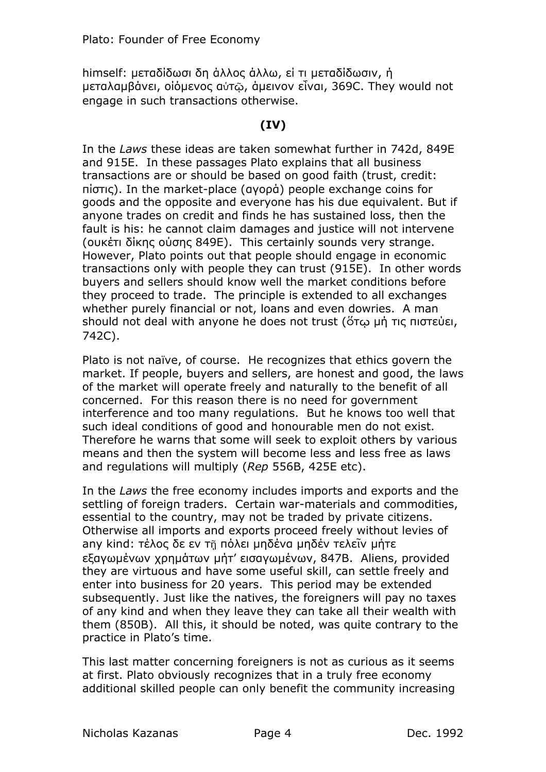himself: μεταδίδωσι δη άλλος άλλω, εί τι μεταδίδωσιν, ή μεταλαμβάνει, οιόμενος αύτω, άμεινον είναι, 369C. They would not engage in such transactions otherwise.

## $(IV)$

In the Laws these ideas are taken somewhat further in 742d, 849E and 915E. In these passages Plato explains that all business transactions are or should be based on good faith (trust, credit: niστις). In the market-place (αγορά) people exchange coins for goods and the opposite and everyone has his due equivalent. But if anyone trades on credit and finds he has sustained loss, then the fault is his: he cannot claim damages and justice will not intervene (ουκέτι δίκης ούσης 849E). This certainly sounds very strange. However, Plato points out that people should engage in economic transactions only with people they can trust (915E). In other words buyers and sellers should know well the market conditions before they proceed to trade. The principle is extended to all exchanges whether purely financial or not, loans and even dowries. A man should not deal with anyone he does not trust (ότω μή τις πιστεύει, 742C).

Plato is not naïve, of course. He recognizes that ethics govern the market. If people, buyers and sellers, are honest and good, the laws of the market will operate freely and naturally to the benefit of all concerned. For this reason there is no need for government interference and too many regulations. But he knows too well that such ideal conditions of good and honourable men do not exist. Therefore he warns that some will seek to exploit others by various means and then the system will become less and less free as laws and regulations will multiply (Rep 556B, 425E etc).

In the Laws the free economy includes imports and exports and the settling of foreign traders. Certain war-materials and commodities, essential to the country, may not be traded by private citizens. Otherwise all imports and exports proceed freely without levies of any kind: τέλος δε εν τη πόλει μηδένα μηδέν τελεΐν μήτε εξανωμένων χρημάτων μήτ' εισανωμένων, 847B, Aliens, provided they are virtuous and have some useful skill, can settle freely and enter into business for 20 years. This period may be extended subsequently. Just like the natives, the foreigners will pay no taxes of any kind and when they leave they can take all their wealth with them (850B). All this, it should be noted, was quite contrary to the practice in Plato's time.

This last matter concerning foreigners is not as curious as it seems at first. Plato obviously recognizes that in a truly free economy additional skilled people can only benefit the community increasing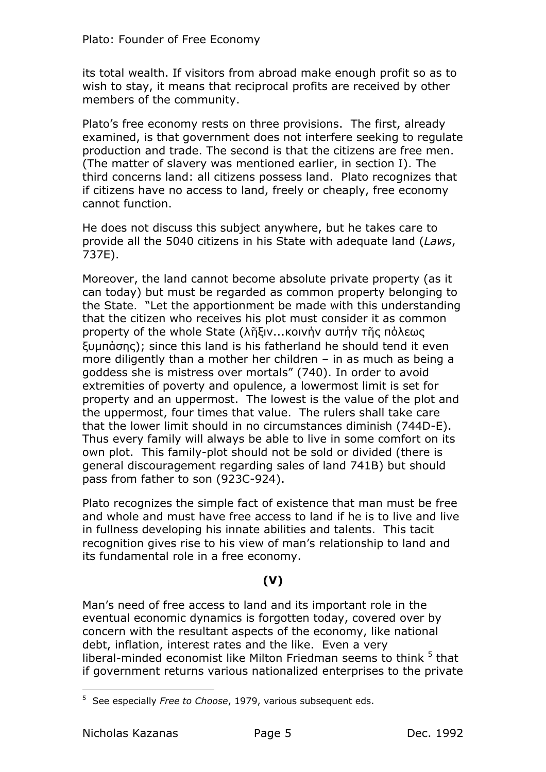its total wealth. If visitors from abroad make enough profit so as to wish to stay, it means that reciprocal profits are received by other members of the community.

Plato's free economy rests on three provisions. The first, already examined, is that government does not interfere seeking to regulate production and trade. The second is that the citizens are free men. (The matter of slavery was mentioned earlier, in section I). The third concerns land: all citizens possess land. Plato recognizes that if citizens have no access to land, freely or cheaply, free economy cannot function.

He does not discuss this subject anywhere, but he takes care to provide all the 5040 citizens in his State with adequate land *(Laws,* 737E).

Moreover, the land cannot become absolute private property (as it can today) but must be regarded as common property belonging to the State. "Let the apportionment be made with this understanding that the citizen who receives his plot must consider it as common property of the whole State (λῆξιν...κοινήν αυτήν τῆς πόλεως Euundonc); since this land is his fatherland he should tend it even more diligently than a mother her children  $-$  in as much as being a goddess she is mistress over mortals" (740). In order to avoid extremities of poverty and opulence, a lowermost limit is set for property and an uppermost. The lowest is the value of the plot and the uppermost, four times that value. The rulers shall take care that the lower limit should in no circumstances diminish (744D-E). Thus every family will always be able to live in some comfort on its own plot. This family-plot should not be sold or divided (there is general discouragement regarding sales of land 741B) but should pass from father to son (923C-924).

Plato recognizes the simple fact of existence that man must be free and whole and must have free access to land if he is to live and live in fullness developing his innate abilities and talents. This tacit recognition gives rise to his view of man's relationship to land and its fundamental role in a free economy.

# **365**

Man's need of free access to land and its important role in the eventual economic dynamics is forgotten today, covered over by concern with the resultant aspects of the economy, like national debt, inflation, interest rates and the like. Even a very liberal-minded economist like Milton Friedman seems to think <sup>5</sup> that if government returns various nationalized enterprises to the private

 $\overline{a}$ <sup>5</sup> See especially *Free to Choose*, 1979, various subsequent eds.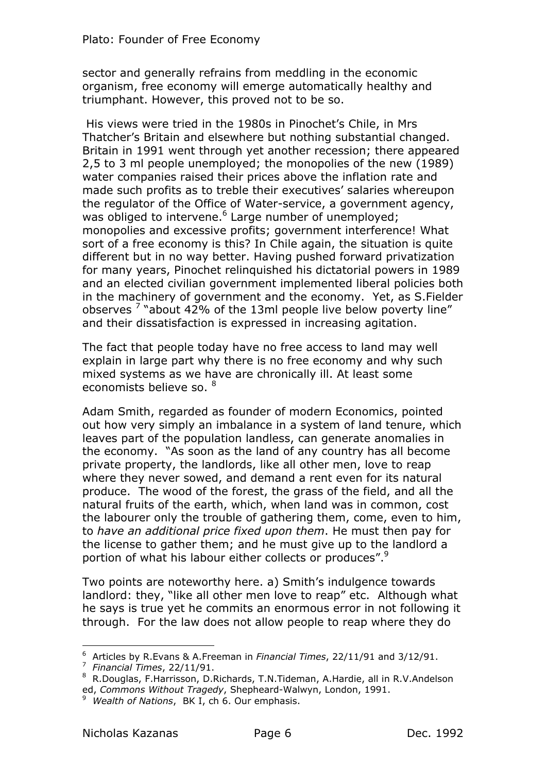sector and generally refrains from meddling in the economic organism, free economy will emerge automatically healthy and triumphant. However, this proved not to be so.

His views were tried in the 1980s in Pinochet's Chile, in Mrs Thatcher's Britain and elsewhere but nothing substantial changed. Britain in 1991 went through yet another recession; there appeared 2,5 to 3 ml people unemployed; the monopolies of the new (1989) water companies raised their prices above the inflation rate and made such profits as to treble their executives' salaries whereupon the regulator of the Office of Water-service, a government agency, was obliged to intervene.<sup>6</sup> Large number of unemployed; monopolies and excessive profits; government interference! What sort of a free economy is this? In Chile again, the situation is quite different but in no way better. Having pushed forward privatization for many years, Pinochet relinquished his dictatorial powers in 1989 and an elected civilian government implemented liberal policies both in the machinery of government and the economy. Yet, as S.Fielder observes<sup>7</sup> "about 42% of the 13ml people live below poverty line" and their dissatisfaction is expressed in increasing agitation.

The fact that people today have no free access to land may well explain in large part why there is no free economy and why such mixed systems as we have are chronically ill. At least some economists believe so.  $8$ 

Adam Smith, regarded as founder of modern Economics, pointed out how very simply an imbalance in a system of land tenure, which leaves part of the population landless, can generate anomalies in the economy. "As soon as the land of any country has all become private property, the landlords, like all other men, love to reap where they never sowed, and demand a rent even for its natural produce. The wood of the forest, the grass of the field, and all the natural fruits of the earth, which, when land was in common, cost the labourer only the trouble of gathering them, come, even to him, to have an additional price fixed upon them. He must then pay for the license to gather them; and he must give up to the landlord a portion of what his labour either collects or produces".<sup>9</sup>

Two points are noteworthy here. a) Smith's indulgence towards landlord: they, "like all other men love to reap" etc. Although what he says is true yet he commits an enormous error in not following it through. For the law does not allow people to reap where they do

<sup>&</sup>lt;sup>6</sup> Articles by R.Evans & A.Freeman in *Financial Times*, 22/11/91 and 3/12/91.

<sup>&</sup>lt;sup>7</sup> Financial Times, 22/11/91.

<sup>&</sup>lt;sup>8</sup> R.Douglas, F.Harrisson, D.Richards, T.N.Tideman, A.Hardie, all in R.V.Andelson ed, Commons Without Tragedy, Shepheard-Walwyn, London, 1991.

<sup>=</sup> *Wealth of Nations, BK I, ch 6, Our emphasis.*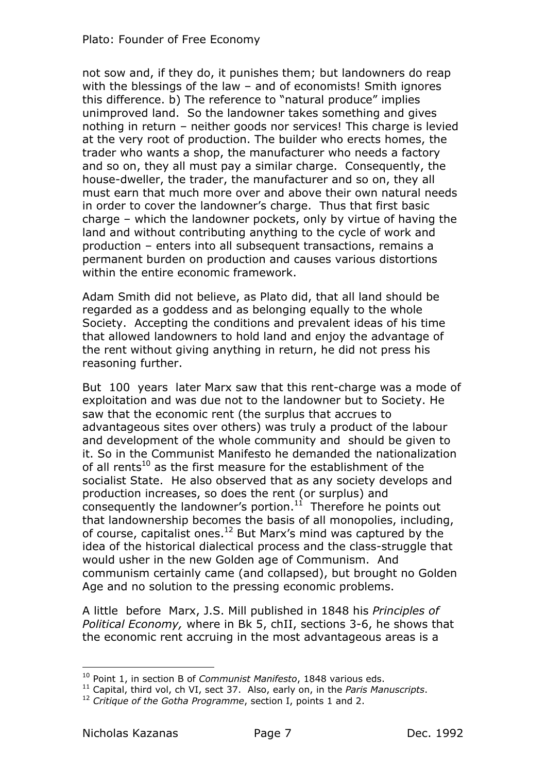not sow and, if they do, it punishes them; but landowners do reap with the blessings of the law  $-$  and of economists! Smith ignores this difference. b) The reference to "natural produce" implies unimproved land. So the landowner takes something and gives nothing in return - neither goods nor services! This charge is levied at the very root of production. The builder who erects homes, the trader who wants a shop, the manufacturer who needs a factory and so on, they all must pay a similar charge. Consequently, the house-dweller, the trader, the manufacturer and so on, they all must earn that much more over and above their own natural needs in order to cover the landowner's charge. Thus that first basic charge  $-$  which the landowner pockets, only by virtue of having the land and without contributing anything to the cycle of work and production \ enters into all subsequent transactions, remains a permanent burden on production and causes various distortions within the entire economic framework.

Adam Smith did not believe, as Plato did, that all land should be regarded as a goddess and as belonging equally to the whole Society. Accepting the conditions and prevalent ideas of his time that allowed landowners to hold land and enjoy the advantage of the rent without giving anything in return, he did not press his reasoning further.

But 100 years later Marx saw that this rent-charge was a mode of exploitation and was due not to the landowner but to Society. He saw that the economic rent (the surplus that accrues to advantageous sites over others) was truly a product of the labour and development of the whole community and should be given to it. So in the Communist Manifesto he demanded the nationalization of all rents<sup>10</sup> as the first measure for the establishment of the socialist State. He also observed that as any society develops and production increases, so does the rent (or surplus) and consequently the landowner's portion. $11$  Therefore he points out that landownership becomes the basis of all monopolies, including, of course, capitalist ones.<sup>12</sup> But Marx's mind was captured by the idea of the historical dialectical process and the class-struggle that would usher in the new Golden age of Communism. And communism certainly came (and collapsed), but brought no Golden Age and no solution to the pressing economic problems.

A little before Marx, J.S. Mill published in 1848 his *Principles of Political Economy,* where in Bk 5, chII, sections 3-6, he shows that the economic rent accruing in the most advantageous areas is a

<sup>&</sup>lt;sup>10</sup> Point 1, in section B of *Communist Manifesto*, 1848 various eds.

<sup>&</sup>lt;sup>11</sup> Capital, third vol, ch VI, sect 37. Also, early on, in the *Paris Manuscripts*.

<sup>&</sup>lt;sup>12</sup> Critique of the Gotha Programme, section I, points 1 and 2.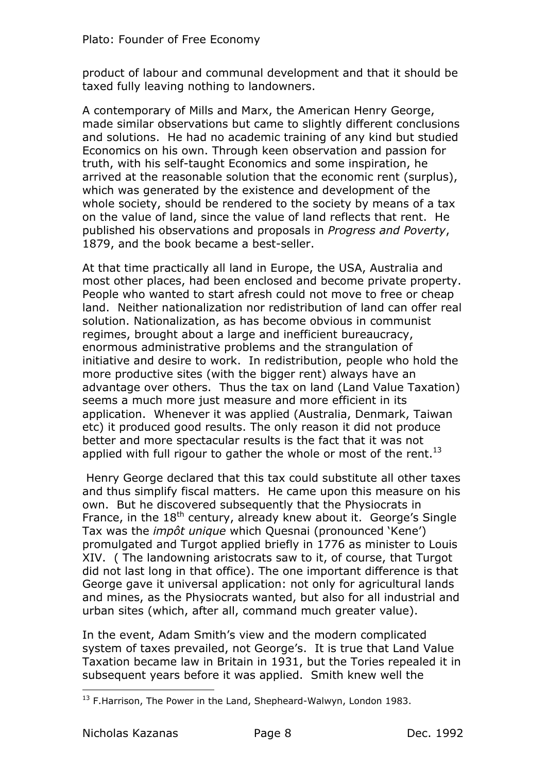product of labour and communal development and that it should be taxed fully leaving nothing to landowners.

A contemporary of Mills and Marx, the American Henry George, made similar observations but came to slightly different conclusions and solutions. He had no academic training of any kind but studied Economics on his own. Through keen observation and passion for truth, with his self-taught Economics and some inspiration, he arrived at the reasonable solution that the economic rent (surplus), which was generated by the existence and development of the whole society, should be rendered to the society by means of a tax on the value of land, since the value of land reflects that rent. He published his observations and proposals in *Progress and Poverty*, 1879, and the book became a best-seller.

At that time practically all land in Europe, the USA, Australia and most other places, had been enclosed and become private property. People who wanted to start afresh could not move to free or cheap land. Neither nationalization nor redistribution of land can offer real solution. Nationalization, as has become obvious in communist regimes, brought about a large and inefficient bureaucracy, enormous administrative problems and the strangulation of initiative and desire to work. In redistribution, people who hold the more productive sites (with the bigger rent) always have an advantage over others. Thus the tax on land (Land Value Taxation) seems a much more just measure and more efficient in its application. Whenever it was applied (Australia, Denmark, Taiwan etc) it produced good results. The only reason it did not produce better and more spectacular results is the fact that it was not applied with full rigour to gather the whole or most of the rent.<sup>13</sup>

Henry George declared that this tax could substitute all other taxes and thus simplify fiscal matters. He came upon this measure on his own. But he discovered subsequently that the Physiocrats in France, in the  $18<sup>th</sup>$  century, already knew about it. George's Single Tax was the *impôt unique* which Quesnai (pronounced 'Kene') promulgated and Turgot applied briefly in 1776 as minister to Louis XIV. (The landowning aristocrats saw to it, of course, that Turgot did not last long in that office). The one important difference is that George gave it universal application: not only for agricultural lands and mines, as the Physiocrats wanted, but also for all industrial and urban sites (which, after all, command much greater value).

In the event, Adam Smith's view and the modern complicated system of taxes prevailed, not George's. It is true that Land Value Taxation became law in Britain in 1931, but the Tories repealed it in subsequent years before it was applied. Smith knew well the

 $\overline{a}$  $^{13}$  F.Harrison, The Power in the Land, Shepheard-Walwyn, London 1983.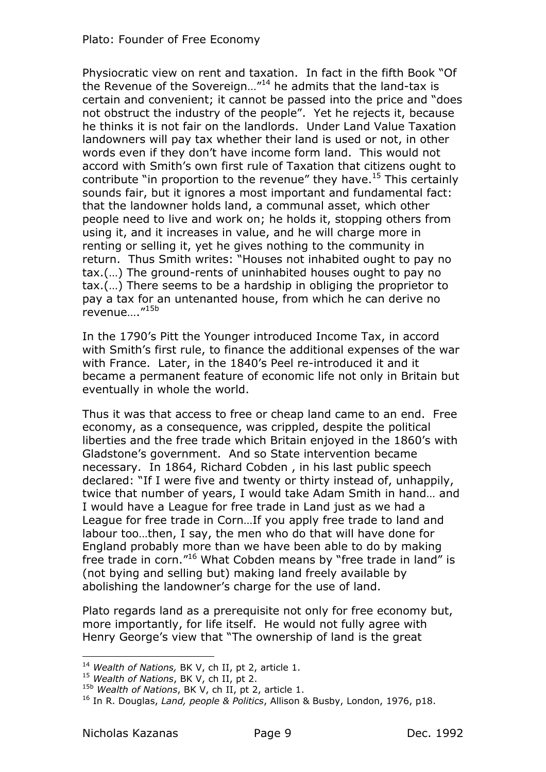Physiocratic view on rent and taxation. In fact in the fifth Book "Of the Revenue of the Sovereign..."<sup>14</sup> he admits that the land-tax is certain and convenient; it cannot be passed into the price and "does not obstruct the industry of the people". Yet he rejects it, because he thinks it is not fair on the landlords. Under Land Value Taxation landowners will pay tax whether their land is used or not, in other words even if they don't have income form land. This would not accord with Smith's own first rule of Taxation that citizens ought to contribute "in proportion to the revenue" they have.<sup>15</sup> This certainly sounds fair, but it ignores a most important and fundamental fact: that the landowner holds land, a communal asset, which other people need to live and work on; he holds it, stopping others from using it, and it increases in value, and he will charge more in renting or selling it, yet he gives nothing to the community in return. Thus Smith writes: "Houses not inhabited ought to pay no tax.(...) The ground-rents of uninhabited houses ought to pay no  $tax.(...)$  There seems to be a hardship in obliging the proprietor to pay a tax for an untenanted house, from which he can derive no  $revenue....$  $''^{15b}$ 

In the 1790's Pitt the Younger introduced Income Tax, in accord with Smith's first rule, to finance the additional expenses of the war with France. Later, in the 1840's Peel re-introduced it and it became a permanent feature of economic life not only in Britain but eventually in whole the world.

Thus it was that access to free or cheap land came to an end. Free economy, as a consequence, was crippled, despite the political liberties and the free trade which Britain enjoyed in the 1860's with Gladstone's government. And so State intervention became necessary. In 1864, Richard Cobden, in his last public speech declared: "If I were five and twenty or thirty instead of, unhappily, twice that number of years, I would take Adam Smith in hand... and I would have a League for free trade in Land just as we had a League for free trade in Corn...If you apply free trade to land and labour too...then, I say, the men who do that will have done for England probably more than we have been able to do by making free trade in corn."<sup>16</sup> What Cobden means by "free trade in land" is (not bying and selling but) making land freely available by abolishing the landowner's charge for the use of land.

Plato regards land as a prerequisite not only for free economy but, more importantly, for life itself. He would not fully agree with Henry George's view that "The ownership of land is the great

<sup>&</sup>lt;sup>14</sup> Wealth of Nations, BK V, ch II, pt 2, article 1.

<sup>&</sup>lt;sup>15</sup> Wealth of Nations, BK V, ch II, pt 2.

<sup>&</sup>lt;sup>15b</sup> Wealth of Nations, BK V, ch II, pt 2, article 1.

<sup>&</sup>lt;sup>16</sup> In R. Douglas, *Land, people & Politics*, Allison & Busby, London, 1976, p18.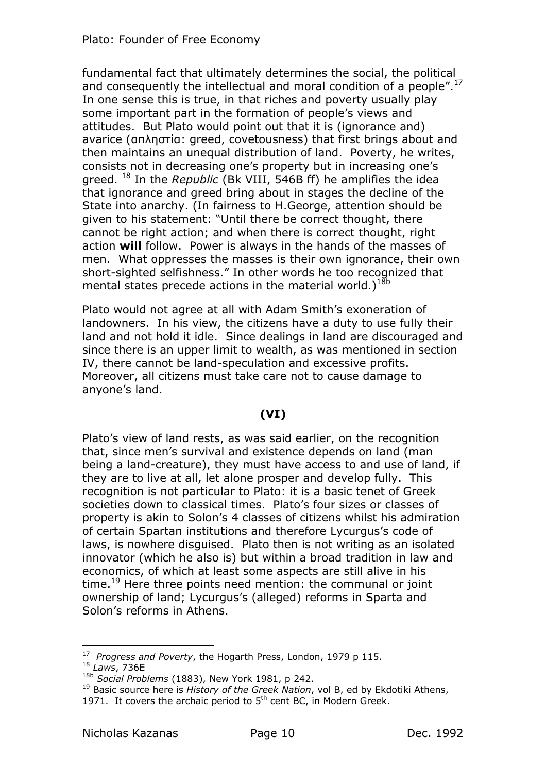fundamental fact that ultimately determines the social, the political and consequently the intellectual and moral condition of a people". $^{17}$ In one sense this is true, in that riches and poverty usually play some important part in the formation of people's views and attitudes. But Plato would point out that it is (ignorance and) avarice ( $an\lambda$ notig: greed, covetousness) that first brings about and then maintains an unequal distribution of land. Poverty, he writes, consists not in decreasing one's property but in increasing one's greed. <sup>18</sup> In the *Republic* (Bk VIII, 546B ff) he amplifies the idea that ignorance and greed bring about in stages the decline of the State into anarchy. (In fairness to H.George, attention should be given to his statement: "Until there be correct thought, there cannot be right action; and when there is correct thought, right action **will** follow. Power is always in the hands of the masses of men. What oppresses the masses is their own ignorance, their own short-sighted selfishness." In other words he too recognized that mental states precede actions in the material world. $1^{18b}$ 

Plato would not agree at all with Adam Smith's exoneration of landowners. In his view, the citizens have a duty to use fully their land and not hold it idle. Since dealings in land are discouraged and since there is an upper limit to wealth, as was mentioned in section IV, there cannot be land-speculation and excessive profits. Moreover, all citizens must take care not to cause damage to anvone's land.

# **36I5**

Plato's view of land rests, as was said earlier, on the recognition that, since men's survival and existence depends on land (man being a land-creature), they must have access to and use of land, if they are to live at all, let alone prosper and develop fully. This recognition is not particular to Plato: it is a basic tenet of Greek societies down to classical times. Plato's four sizes or classes of property is akin to Solon's 4 classes of citizens whilst his admiration of certain Spartan institutions and therefore Lycurgus's code of laws, is nowhere disguised. Plato then is not writing as an isolated innovator (which he also is) but within a broad tradition in law and economics, of which at least some aspects are still alive in his time.<sup>19</sup> Here three points need mention: the communal or joint ownership of land; Lycurgus's (alleged) reforms in Sparta and Solon's reforms in Athens.

<sup>17</sup> Progress and Poverty, the Hogarth Press, London, 1979 p 115. <sup>18</sup> *Laws*, 736E

<sup>&</sup>lt;sup>18b</sup> Social Problems (1883), New York 1981, p 242.

<sup>&</sup>lt;sup>19</sup> Basic source here is *History of the Greek Nation*, vol B, ed by Ekdotiki Athens, 1971. It covers the archaic period to  $5<sup>th</sup>$  cent BC, in Modern Greek.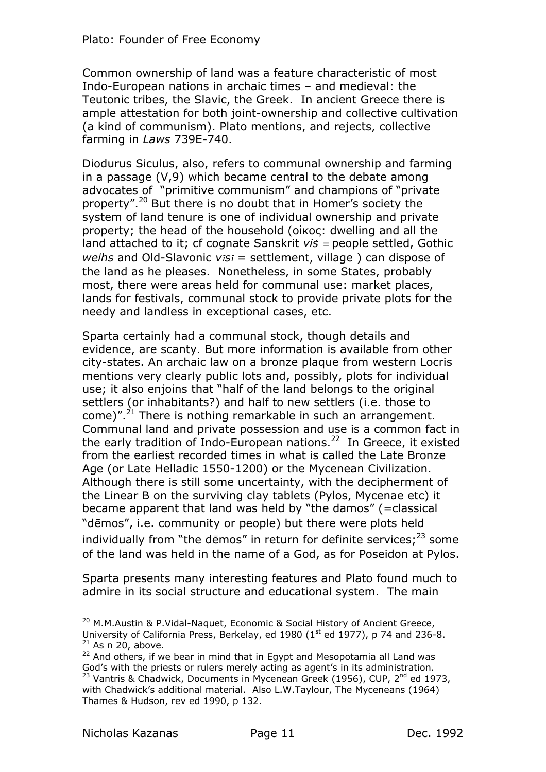Common ownership of land was a feature characteristic of most Indo-European nations in archaic times  $-$  and medieval: the Teutonic tribes, the Slavic, the Greek. In ancient Greece there is ample attestation for both joint-ownership and collective cultivation (a kind of communism). Plato mentions, and rejects, collective farming in *Laws* 739E-740.

Diodurus Siculus, also, refers to communal ownership and farming in a passage  $(V,9)$  which became central to the debate among advocates of "primitive communism" and champions of "private property".<sup>20</sup> But there is no doubt that in Homer's society the system of land tenure is one of individual ownership and private property; the head of the household (oikoc: dwelling and all the land attached to it; cf cognate Sanskrit *vis* = people settled, Gothic *weihs* and Old-Slavonic *visi* = settlement, village ) can dispose of the land as he pleases. Nonetheless, in some States, probably most, there were areas held for communal use: market places, lands for festivals, communal stock to provide private plots for the needy and landless in exceptional cases, etc.

Sparta certainly had a communal stock, though details and evidence, are scanty. But more information is available from other city-states. An archaic law on a bronze plaque from western Locris mentions very clearly public lots and, possibly, plots for individual use; it also enjoins that "half of the land belongs to the original settlers (or inhabitants?) and half to new settlers (i.e. those to come)".<sup>21</sup> There is nothing remarkable in such an arrangement. Communal land and private possession and use is a common fact in the early tradition of Indo-European nations.<sup>22</sup> In Greece, it existed from the earliest recorded times in what is called the Late Bronze Age (or Late Helladic 1550-1200) or the Mycenean Civilization. Although there is still some uncertainty, with the decipherment of the Linear B on the surviving clay tablets (Pylos, Mycenae etc) it became apparent that land was held by "the damos" (=classical "dēmos", i.e. community or people) but there were plots held individually from "the dēmos" in return for definite services;<sup>23</sup> some of the land was held in the name of a God, as for Poseidon at Pylos.

Sparta presents many interesting features and Plato found much to admire in its social structure and educational system. The main

<sup>&</sup>lt;sup>20</sup> M.M.Austin & P.Vidal-Naquet, Economic & Social History of Ancient Greece, University of California Press, Berkelay, ed 1980 ( $1<sup>st</sup>$  ed 1977), p 74 and 236-8.  $21$  As n 20, above.

 $22$  And others, if we bear in mind that in Egypt and Mesopotamia all Land was God's with the priests or rulers merely acting as agent's in its administration. <sup>23</sup> Vantris & Chadwick, Documents in Mycenean Greek (1956), CUP, 2<sup>nd</sup> ed 1973, with Chadwick's additional material. Also L.W.Taylour, The Myceneans (1964) Thames & Hudson, rev ed 1990, p 132.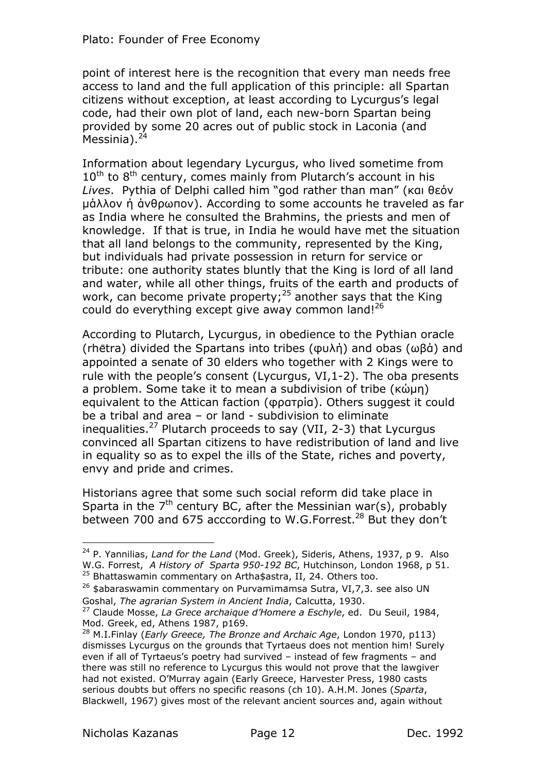point of interest here is the recognition that every man needs free access to land and the full application of this principle: all Spartan citizens without exception, at least according to Lycurgus's legal code, had their own plot of land, each new-born Spartan being provided by some 20 acres out of public stock in Laconia (and Messinia). $<sup>2</sup>$ </sup>

Information about legendary Lycurgus, who lived sometime from  $10^{\text{th}}$  to  $8^{\text{th}}$  century, comes mainly from Plutarch's account in his Lives. Pythia of Delphi called him "god rather than man" (кан θεόν uάλλον η άνθρωπον). According to some accounts he traveled as far as India where he consulted the Brahmins, the priests and men of knowledge. If that is true, in India he would have met the situation that all land belongs to the community, represented by the King, but individuals had private possession in return for service or tribute: one authority states bluntly that the King is lord of all land and water, while all other things, fruits of the earth and products of work, can become private property;<sup>25</sup> another says that the King could do everything except give away common land! $^{26}$ 

According to Plutarch, Lycurgus, in obedience to the Pythian oracle  $($ rhētra) divided the Spartans into tribes  $($  $\omega$  $\lambda$ n $\lambda$ ) and obas  $($  $\omega$  $\beta$  $\dot{\alpha}$  $)$  and appointed a senate of 30 elders who together with 2 Kings were to rule with the people's consent (Lycurgus, VI,  $1-2$ ). The oba presents a problem. Some take it to mean a subdivision of tribe  $(\kappa \dot{\omega} \mu n)$ equivalent to the Attican faction ( $\varphi$ parpia). Others suggest it could be a tribal and area  $-$  or land  $-$  subdivision to eliminate inequalities.<sup>27</sup> Plutarch proceeds to say (VII, 2-3) that Lycurgus convinced all Spartan citizens to have redistribution of land and live in equality so as to expel the ills of the State, riches and poverty, envy and pride and crimes.

Historians agree that some such social reform did take place in Sparta in the  $7<sup>th</sup>$  century BC, after the Messinian war(s), probably between 700 and 675 acccording to W.G.Forrest.<sup>28</sup> But they don't

<sup>&</sup>lt;sup>24</sup> P. Yannilias, *Land for the Land* (Mod. Greek), Sideris, Athens, 1937, p 9. Also W.G. Forrest, *A History of Sparta 950-192 BC*, Hutchinson, London 1968, p 51. <sup>25</sup> Bhattaswamin commentary on Artha\$astra, II, 24. Others too.

<sup>&</sup>lt;sup>26</sup> \$abaraswamin commentary on Purvamimamsa Sutra, VI,7,3. see also UN Goshal, *The agrarian System in Ancient India*, Calcutta, 1930.

<sup>&</sup>lt;sup>27</sup> Claude Mosse, *La Grece archaique d'Homere a Eschyle*, ed. Du Seuil, 1984, Mod. Greek, ed, Athens 1987, p169.

<sup>&</sup>lt;sup>28</sup> M.I.Finlay (*Early Greece, The Bronze and Archaic Age*, London 1970, p113) dismisses Lycurgus on the grounds that Tyrtaeus does not mention him! Surely even if all of Tyrtaeus's poetry had survived  $\hbox{--}$  instead of few fragments  $\hbox{--}$  and there was still no reference to Lycurgus this would not prove that the lawgiver had not existed. O'Murray again (Early Greece, Harvester Press, 1980 casts serious doubts but offers no specific reasons (ch 10), A.H.M. Jones (Sparta, Blackwell, 1967) gives most of the relevant ancient sources and, again without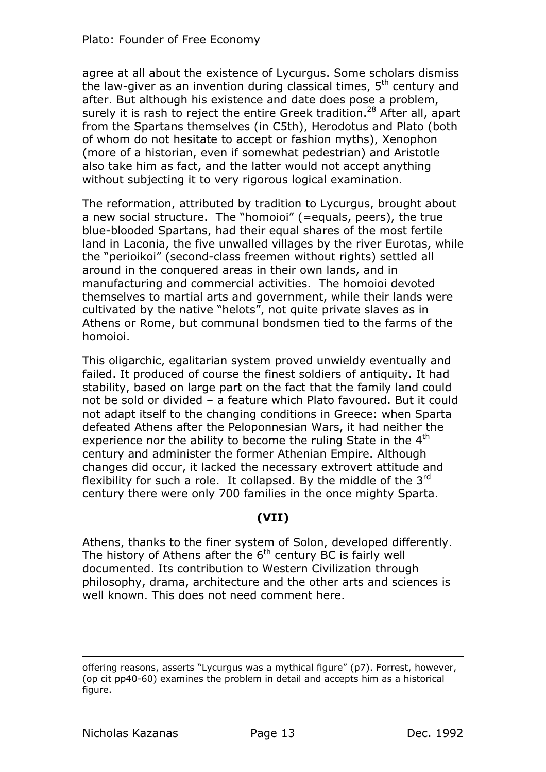agree at all about the existence of Lycurgus. Some scholars dismiss the law-giver as an invention during classical times,  $5<sup>th</sup>$  century and after. But although his existence and date does pose a problem, surely it is rash to reject the entire Greek tradition.<sup>28</sup> After all, apart from the Spartans themselves (in C5th), Herodotus and Plato (both of whom do not hesitate to accept or fashion myths), Xenophon (more of a historian, even if somewhat pedestrian) and Aristotle also take him as fact, and the latter would not accept anything without subjecting it to very rigorous logical examination.

The reformation, attributed by tradition to Lycurgus, brought about a new social structure. The "homoioi" (=equals, peers), the true blue-blooded Spartans, had their equal shares of the most fertile land in Laconia, the five unwalled villages by the river Eurotas, while the "perioikoi" (second-class freemen without rights) settled all around in the conquered areas in their own lands, and in manufacturing and commercial activities. The homoioi devoted themselves to martial arts and government, while their lands were cultivated by the native "helots", not quite private slaves as in Athens or Rome, but communal bondsmen tied to the farms of the homoioi.

This oligarchic, egalitarian system proved unwieldy eventually and failed. It produced of course the finest soldiers of antiquity. It had stability, based on large part on the fact that the family land could not be sold or divided - a feature which Plato favoured. But it could not adapt itself to the changing conditions in Greece: when Sparta defeated Athens after the Peloponnesian Wars, it had neither the experience nor the ability to become the ruling State in the  $4<sup>th</sup>$ century and administer the former Athenian Empire. Although changes did occur, it lacked the necessary extrovert attitude and flexibility for such a role. It collapsed. By the middle of the  $3<sup>rd</sup>$ century there were only 700 families in the once mighty Sparta.

#### **36II5**

Athens, thanks to the finer system of Solon, developed differently. The history of Athens after the  $6<sup>th</sup>$  century BC is fairly well documented. Its contribution to Western Civilization through philosophy, drama, architecture and the other arts and sciences is well known. This does not need comment here.

offering reasons, asserts "Lycurgus was a mythical figure" (p7). Forrest, however,  $($ op cit pp40-60 $)$  examines the problem in detail and accepts him as a historical figure.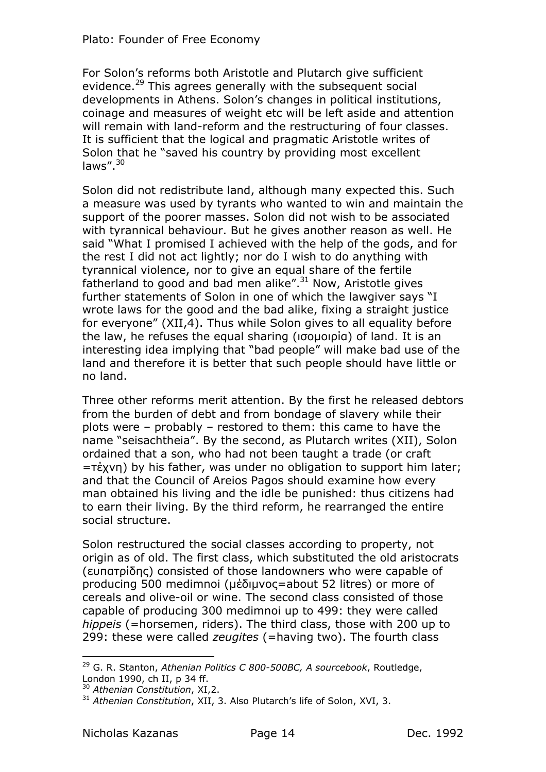For Solon's reforms both Aristotle and Plutarch give sufficient evidence.<sup>29</sup> This agrees generally with the subsequent social developments in Athens. Solon's changes in political institutions, coinage and measures of weight etc will be left aside and attention will remain with land-reform and the restructuring of four classes. It is sufficient that the logical and pragmatic Aristotle writes of Solon that he "saved his country by providing most excellent laws". $30$ 

Solon did not redistribute land, although many expected this. Such a measure was used by tyrants who wanted to win and maintain the support of the poorer masses. Solon did not wish to be associated with tyrannical behaviour. But he gives another reason as well. He said "What I promised I achieved with the help of the gods, and for the rest I did not act lightly; nor do I wish to do anything with tyrannical violence, nor to give an equal share of the fertile fatherland to good and bad men alike". $31$  Now, Aristotle gives further statements of Solon in one of which the lawgiver says "I wrote laws for the good and the bad alike, fixing a straight justice for everyone"  $(XII,4)$ . Thus while Solon gives to all equality before the law, he refuses the equal sharing  $(100)(100)$  of land. It is an interesting idea implying that "bad people" will make bad use of the land and therefore it is better that such people should have little or no land.

Three other reforms merit attention. By the first he released debtors from the burden of debt and from bondage of slavery while their plots were  $-$  probably  $-$  restored to them: this came to have the name "seisachtheia". By the second, as Plutarch writes (XII), Solon ordained that a son, who had not been taught a trade (or craft  $=$ T $\frac{1}{k}$  by his father, was under no obligation to support him later; and that the Council of Areios Pagos should examine how every man obtained his living and the idle be punished: thus citizens had to earn their living. By the third reform, he rearranged the entire social structure.

Solon restructured the social classes according to property, not origin as of old. The first class, which substituted the old aristocrats (ευπατρίδης) consisted of those landowners who were capable of producing 500 medimnoi ( $\mu \dot{\delta}$ uvoc=about 52 litres) or more of cereals and olive-oil or wine. The second class consisted of those capable of producing 300 medimnoi up to 499; they were called *hippeis* (=horsemen, riders). The third class, those with 200 up to 299: these were called *zeugites* (=having two). The fourth class

<sup>&</sup>lt;sup>29</sup> G. R. Stanton, Athenian Politics C 800-500BC, A sourcebook, Routledge, London  $1990$ , ch II, p 34 ff.

<sup>&</sup>lt;sup>30</sup> Athenian Constitution, XI.2.

<sup>&</sup>lt;sup>31</sup> Athenian Constitution, XII, 3, Also Plutarch's life of Solon, XVI, 3,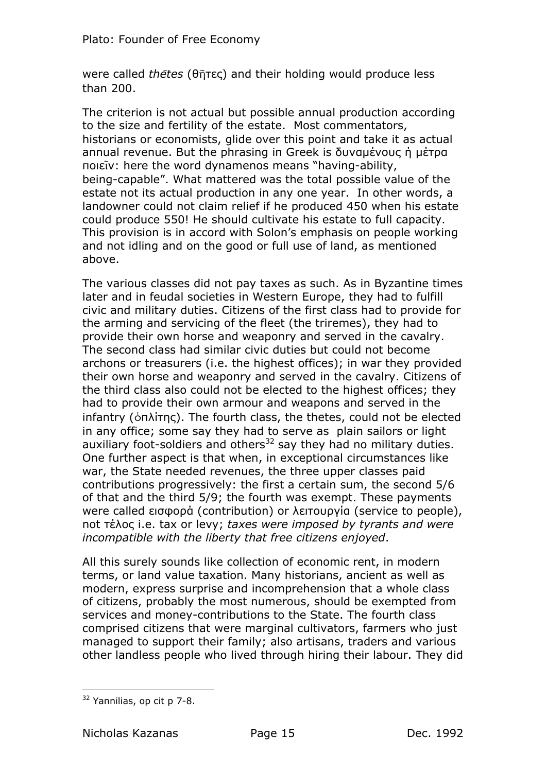were called *thetes* (θῆτες) and their holding would produce less than  $200.$ 

The criterion is not actual but possible annual production according to the size and fertility of the estate. Most commentators, historians or economists, glide over this point and take it as actual annual revenue. But the phrasing in Greek is  $\delta$ uvaus vous  $\dot{\eta}$  ustrog nοιεῖν: here the word dynamenos means "having-ability, being-capable". What mattered was the total possible value of the estate not its actual production in any one year. In other words, a landowner could not claim relief if he produced 450 when his estate could produce 550! He should cultivate his estate to full capacity. This provision is in accord with Solon's emphasis on people working and not idling and on the good or full use of land, as mentioned above.

The various classes did not pay taxes as such. As in Byzantine times later and in feudal societies in Western Europe, they had to fulfill civic and military duties. Citizens of the first class had to provide for the arming and servicing of the fleet (the triremes), they had to provide their own horse and weaponry and served in the cavalry. The second class had similar civic duties but could not become archons or treasurers (i.e. the highest offices); in war they provided their own horse and weaponry and served in the cavalry. Citizens of the third class also could not be elected to the highest offices; they had to provide their own armour and weapons and served in the infantry ( $\delta$ n $\lambda$ irnc). The fourth class, the thetes, could not be elected in any office; some say they had to serve as plain sailors or light auxiliary foot-soldiers and others<sup>32</sup> say they had no military duties. One further aspect is that when, in exceptional circumstances like war, the State needed revenues, the three upper classes paid contributions progressively: the first a certain sum, the second  $5/6$ of that and the third 5/9; the fourth was exempt. These payments were called  $\epsilon$ <sub>1</sub> appoor (contribution) or  $\lambda$  *Eitroupyia* (service to people), not  $\tau$ <sub>E</sub>  $\lambda$ oc *i.e.* tax or levy; *taxes were imposed by tyrants and were incompatible with the liberty that free citizens enjoyed.* 

All this surely sounds like collection of economic rent, in modern terms, or land value taxation. Many historians, ancient as well as modern, express surprise and incomprehension that a whole class of citizens, probably the most numerous, should be exempted from services and money-contributions to the State. The fourth class comprised citizens that were marginal cultivators, farmers who just managed to support their family; also artisans, traders and various other landless people who lived through hiring their labour. They did

 $\overline{a}$ <sup>32</sup> Yannilias, op cit p 7-8.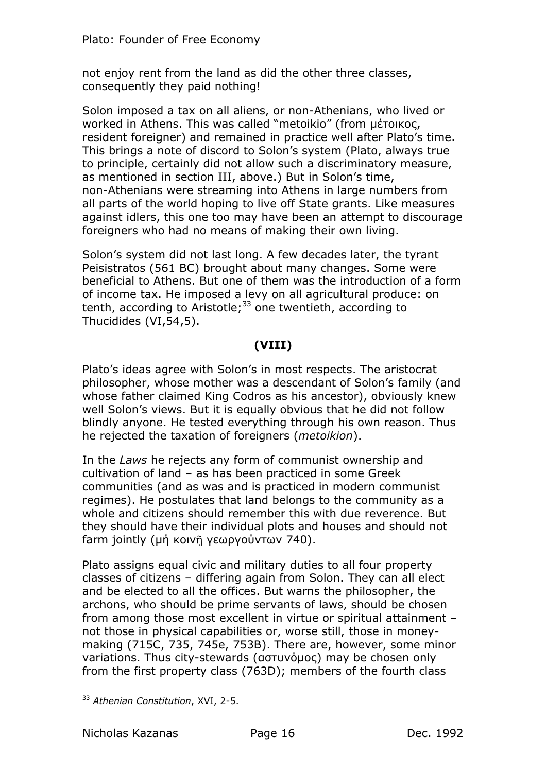not enjoy rent from the land as did the other three classes, consequently they paid nothing!

Solon imposed a tax on all aliens, or non-Athenians, who lived or worked in Athens. This was called "metoikio" (from μέτοικος, resident foreigner) and remained in practice well after Plato's time. This brings a note of discord to Solon's system (Plato, always true to principle, certainly did not allow such a discriminatory measure, as mentioned in section III, above.) But in Solon's time, non-Athenians were streaming into Athens in large numbers from all parts of the world hoping to live off State grants. Like measures against idlers, this one too may have been an attempt to discourage foreigners who had no means of making their own living.

Solon's system did not last long. A few decades later, the tyrant Peisistratos (561 BC) brought about many changes. Some were beneficial to Athens. Hut one of them was the introduction of a form of income tax. He imposed a levy on all agricultural produce: on tenth, according to Aristotle;<sup>33</sup> one twentieth, according to Thucidides  $(VI, 54, 5)$ .

## **36III5**

Plato's ideas agree with Solon's in most respects. The aristocrat philosopher, whose mother was a descendant of Solon's family (and whose father claimed King Codros as his ancestor), obviously knew well Solon's views. But it is equally obvious that he did not follow blindly anyone. He tested everything through his own reason. Thus he rejected the taxation of foreigners (*metoikion*).

In the *Laws* he rejects any form of communist ownership and cultivation of land  $-$  as has been practiced in some Greek communities (and as was and is practiced in modern communist regimes). He postulates that land belongs to the community as a whole and citizens should remember this with due reverence. Hut they should have their individual plots and houses and should not farm jointly (μή κοινῆ γεωργούντων 740).

Plato assigns equal civic and military duties to all four property classes of citizens  $-$  differing again from Solon. They can all elect and be elected to all the offices. But warns the philosopher, the archons, who should be prime servants of laws, should be chosen from among those most excellent in virtue or spiritual attainment not those in physical capabilities or, worse still, those in moneymaking (715C, 735, 745e, 753B). There are, however, some minor variations. Thus city-stewards (actuvouse) may be chosen only from the first property class  $(763D)$ ; members of the fourth class

 $\overline{a}$ <sup>33</sup> Athenian Constitution, XVI, 2-5.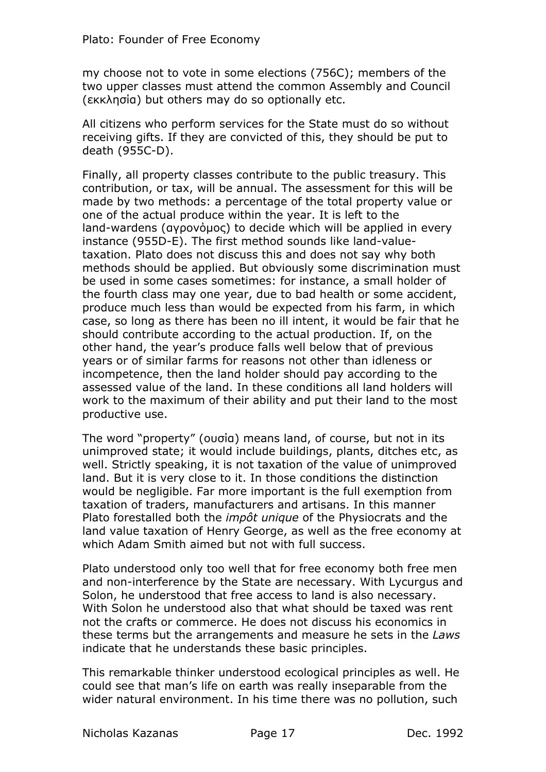my choose not to vote in some elections (756C); members of the two upper classes must attend the common Assembly and Council  $(\epsilon \kappa \lambda n \sigma)$  but others may do so optionally etc.

All citizens who perform services for the State must do so without receiving gifts. If they are convicted of this, they should be put to death  $(955C-D)$ .

Finally, all property classes contribute to the public treasury. This contribution, or tax, will be annual. The assessment for this will be made by two methods: a percentage of the total property value or one of the actual produce within the year. It is left to the land-wardens (avoovouoc) to decide which will be applied in every instance (955D-E). The first method sounds like land-valuetaxation. Plato does not discuss this and does not say why both methods should be applied. But obviously some discrimination must be used in some cases sometimes: for instance, a small holder of the fourth class may one year, due to bad health or some accident, produce much less than would be expected from his farm, in which case, so long as there has been no ill intent, it would be fair that he should contribute according to the actual production. If, on the other hand, the year's produce falls well below that of previous years or of similar farms for reasons not other than idleness or incompetence, then the land holder should pay according to the assessed value of the land. In these conditions all land holders will work to the maximum of their ability and put their land to the most productive use.

The word "property" (ougia) means land, of course, but not in its unimproved state; it would include buildings, plants, ditches etc, as well. Strictly speaking, it is not taxation of the value of unimproved land. But it is very close to it. In those conditions the distinction would be negligible. Far more important is the full exemption from taxation of traders, manufacturers and artisans. In this manner Plato forestalled both the *impôt unique* of the Physiocrats and the land value taxation of Henry George, as well as the free economy at which Adam Smith aimed but not with full success.

Plato understood only too well that for free economy both free men and non-interference by the State are necessary. With Lycurgus and Solon, he understood that free access to land is also necessary. With Solon he understood also that what should be taxed was rent not the crafts or commerce. He does not discuss his economics in these terms but the arrangements and measure he sets in the *Laws* indicate that he understands these basic principles.

This remarkable thinker understood ecological principles as well. He could see that man's life on earth was really inseparable from the wider natural environment. In his time there was no pollution, such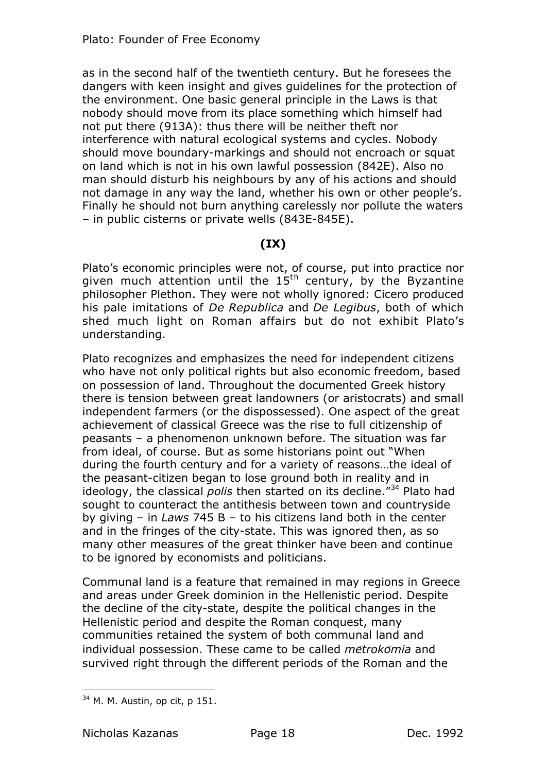as in the second half of the twentieth century. Hut he foresees the dangers with keen insight and gives guidelines for the protection of the environment. One basic general principle in the Laws is that nobody should move from its place something which himself had not put there (913A): thus there will be neither theft nor interference with natural ecological systems and cycles. Nobody should move boundary-markings and should not encroach or squat on land which is not in his own lawful possession (842E). Also no man should disturb his neighbours by any of his actions and should not damage in any way the land, whether his own or other people's. Finally he should not burn anything carelessly nor pollute the waters - in public cisterns or private wells  $(843E-845E)$ .

## **3I95**

Plato's economic principles were not, of course, put into practice nor given much attention until the  $15<sup>th</sup>$  century, by the Byzantine philosopher Plethon. They were not wholly ignored: Cicero produced his pale imitations of *De Republica* and *De Legibus*, both of which shed much light on Roman affairs but do not exhibit Plato's understanding.

Plato recognizes and emphasizes the need for independent citizens who have not only political rights but also economic freedom, based on possession of land. Throughout the documented Greek history there is tension between great landowners (or aristocrats) and small independent farmers (or the dispossessed). One aspect of the great achievement of classical Greece was the rise to full citizenship of peasants  $-$  a phenomenon unknown before. The situation was far from ideal, of course. But as some historians point out "When during the fourth century and for a variety of reasons...the ideal of the peasant-citizen began to lose ground both in reality and in ideology, the classical *polis* then started on its decline."<sup>34</sup> Plato had sought to counteract the antithesis between town and countryside by giving  $-$  in *Laws* 745 B  $-$  to his citizens land both in the center and in the fringes of the city-state. This was ignored then, as so many other measures of the great thinker have been and continue to be ignored by economists and politicians.

Communal land is a feature that remained in may regions in Greece and areas under Greek dominion in the Hellenistic period. Despite the decline of the city-state, despite the political changes in the Hellenistic period and despite the Roman conquest, many communities retained the system of both communal land and individual possession. These came to be called *metrokomia* and survived right through the different periods of the Roman and the

 $\overline{a}$  $34$  M. M. Austin, op cit, p 151.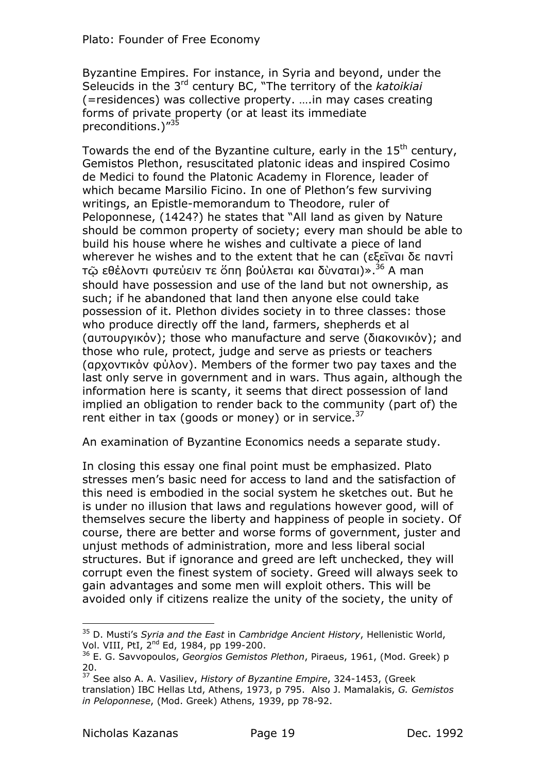Byzantine Empires. For instance, in Syria and beyond, under the Seleucids in the 3rd century BC, "The territory of the katoikiai (=residences) was collective property. .... in may cases creating forms of private property (or at least its immediate preconditions.)"35

Towards the end of the Byzantine culture, early in the 15<sup>th</sup> century, Gemistos Plethon, resuscitated platonic ideas and inspired Cosimo de Medici to found the Platonic Academy in Florence, leader of which became Marsilio Ficino. In one of Plethon's few surviving writings, an Epistle-memorandum to Theodore, ruler of Peloponnese, (1424?) he states that "All land as given by Nature should be common property of society; every man should be able to build his house where he wishes and cultivate a piece of land wherever he wishes and to the extent that he can (εξεῖναι δε παντί τῷ εθέλοντι φυτεύειν τε ὅπη βούλεται και δὺναται)».<sup>36</sup> A man should have possession and use of the land but not ownership, as such; if he abandoned that land then anyone else could take possession of it. Plethon divides society in to three classes: those who produce directly off the land, farmers, shepherds et al (αυτουργικόν); those who manufacture and serve (διακονικόν); and those who rule, protect, judge and serve as priests or teachers (αρχοντικόν φύλον). Members of the former two pay taxes and the last only serve in government and in wars. Thus again, although the information here is scanty, it seems that direct possession of land implied an obligation to render back to the community (part of) the rent either in tax (goods or money) or in service.<sup>37</sup>

An examination of Byzantine Economics needs a separate study.

In closing this essay one final point must be emphasized. Plato stresses men's basic need for access to land and the satisfaction of this need is embodied in the social system he sketches out. But he is under no illusion that laws and regulations however good, will of themselves secure the liberty and happiness of people in society. Of course, there are better and worse forms of government, juster and unjust methods of administration, more and less liberal social structures. But if ignorance and greed are left unchecked, they will corrupt even the finest system of society. Greed will always seek to gain advantages and some men will exploit others. This will be avoided only if citizens realize the unity of the society, the unity of

<sup>&</sup>lt;sup>35</sup> D. Musti's Syria and the East in Cambridge Ancient History, Hellenistic World, Vol. VIII, PtI, 2<sup>nd</sup> Ed, 1984, pp 199-200.

<sup>&</sup>lt;sup>36</sup> E. G. Savvopoulos, Georgios Gemistos Plethon, Piraeus, 1961, (Mod. Greek) p 20.

<sup>&</sup>lt;sup>37</sup> See also A. A. Vasiliev, History of Byzantine Empire, 324-1453, (Greek translation) IBC Hellas Ltd, Athens, 1973, p 795. Also J. Mamalakis, G. Gemistos in Peloponnese, (Mod. Greek) Athens, 1939, pp 78-92.